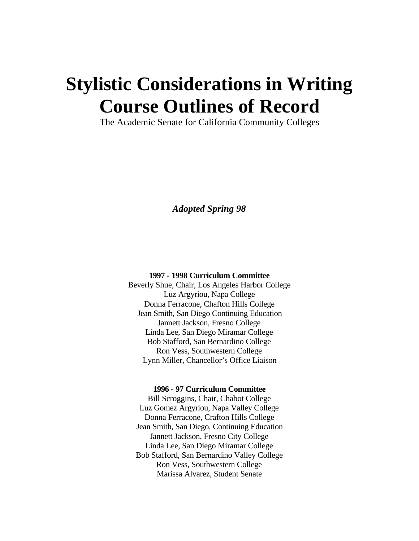# **Stylistic Considerations in Writing Course Outlines of Record**

The Academic Senate for California Community Colleges

*Adopted Spring 98*

#### **1997 - 1998 Curriculum Committee**

Beverly Shue, Chair, Los Angeles Harbor College Luz Argyriou, Napa College Donna Ferracone, Chafton Hills College Jean Smith, San Diego Continuing Education Jannett Jackson, Fresno College Linda Lee, San Diego Miramar College Bob Stafford, San Bernardino College Ron Vess, Southwestern College Lynn Miller, Chancellor's Office Liaison

#### **1996 - 97 Curriculum Committee**

Bill Scroggins, Chair, Chabot College Luz Gomez Argyriou, Napa Valley College Donna Ferracone, Crafton Hills College Jean Smith, San Diego, Continuing Education Jannett Jackson, Fresno City College Linda Lee, San Diego Miramar College Bob Stafford, San Bernardino Valley College Ron Vess, Southwestern College Marissa Alvarez, Student Senate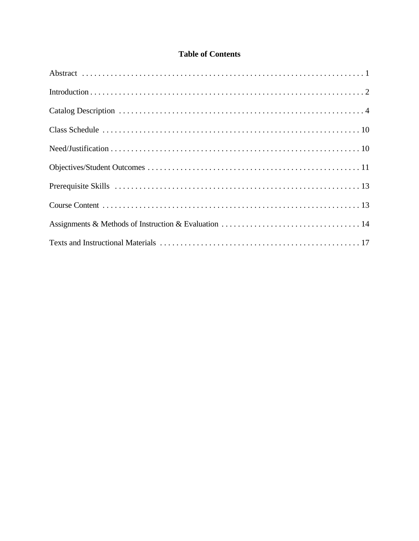## **Table of Contents**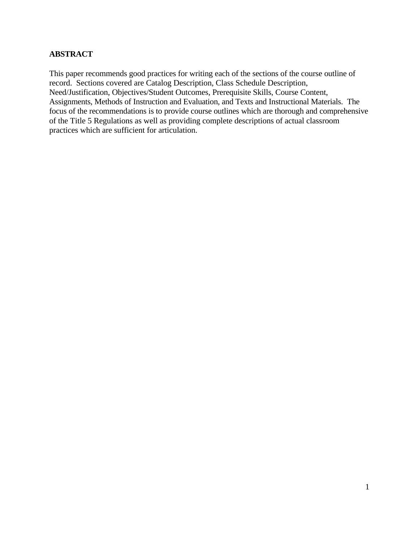## **ABSTRACT**

This paper recommends good practices for writing each of the sections of the course outline of record. Sections covered are Catalog Description, Class Schedule Description, Need/Justification, Objectives/Student Outcomes, Prerequisite Skills, Course Content, Assignments, Methods of Instruction and Evaluation, and Texts and Instructional Materials. The focus of the recommendations is to provide course outlines which are thorough and comprehensive of the Title 5 Regulations as well as providing complete descriptions of actual classroom practices which are sufficient for articulation.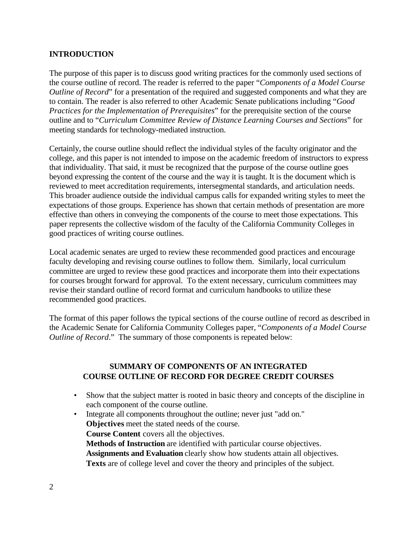#### **INTRODUCTION**

The purpose of this paper is to discuss good writing practices for the commonly used sections of the course outline of record. The reader is referred to the paper "*Components of a Model Course Outline of Record*" for a presentation of the required and suggested components and what they are to contain. The reader is also referred to other Academic Senate publications including "*Good Practices for the Implementation of Prerequisites*" for the prerequisite section of the course outline and to "*Curriculum Committee Review of Distance Learning Courses and Sections*" for meeting standards for technology-mediated instruction.

Certainly, the course outline should reflect the individual styles of the faculty originator and the college, and this paper is not intended to impose on the academic freedom of instructors to express that individuality. That said, it must be recognized that the purpose of the course outline goes beyond expressing the content of the course and the way it is taught. It is the document which is reviewed to meet accreditation requirements, intersegmental standards, and articulation needs. This broader audience outside the individual campus calls for expanded writing styles to meet the expectations of those groups. Experience has shown that certain methods of presentation are more effective than others in conveying the components of the course to meet those expectations. This paper represents the collective wisdom of the faculty of the California Community Colleges in good practices of writing course outlines.

Local academic senates are urged to review these recommended good practices and encourage faculty developing and revising course outlines to follow them. Similarly, local curriculum committee are urged to review these good practices and incorporate them into their expectations for courses brought forward for approval. To the extent necessary, curriculum committees may revise their standard outline of record format and curriculum handbooks to utilize these recommended good practices.

The format of this paper follows the typical sections of the course outline of record as described in the Academic Senate for California Community Colleges paper, "*Components of a Model Course Outline of Record*." The summary of those components is repeated below:

#### **SUMMARY OF COMPONENTS OF AN INTEGRATED COURSE OUTLINE OF RECORD FOR DEGREE CREDIT COURSES**

- Show that the subject matter is rooted in basic theory and concepts of the discipline in each component of the course outline.
- Integrate all components throughout the outline; never just "add on." **Objectives** meet the stated needs of the course. **Course Content** covers all the objectives. **Methods of Instruction** are identified with particular course objectives. **Assignments and Evaluation** clearly show how students attain all objectives. **Texts** are of college level and cover the theory and principles of the subject.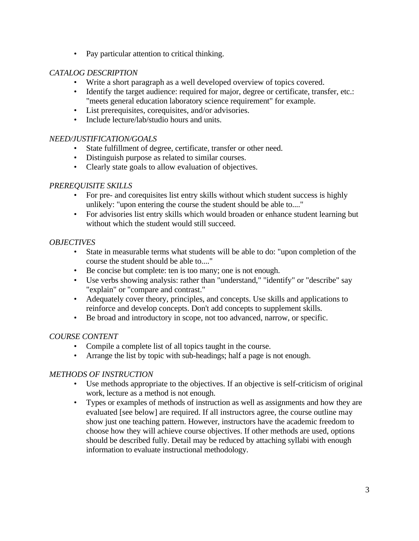• Pay particular attention to critical thinking.

#### *CATALOG DESCRIPTION*

- Write a short paragraph as a well developed overview of topics covered.
- Identify the target audience: required for major, degree or certificate, transfer, etc.: "meets general education laboratory science requirement" for example.
- List prerequisites, corequisites, and/or advisories.
- Include lecture/lab/studio hours and units.

#### *NEED/JUSTIFICATION/GOALS*

- State fulfillment of degree, certificate, transfer or other need.
- Distinguish purpose as related to similar courses.
- Clearly state goals to allow evaluation of objectives.

#### *PREREQUISITE SKILLS*

- For pre- and corequisites list entry skills without which student success is highly unlikely: "upon entering the course the student should be able to...."
- For advisories list entry skills which would broaden or enhance student learning but without which the student would still succeed.

#### *OBJECTIVES*

- State in measurable terms what students will be able to do: "upon completion of the course the student should be able to...."
- Be concise but complete: ten is too many; one is not enough.
- Use verbs showing analysis: rather than "understand," "identify" or "describe" say "explain" or "compare and contrast."
- Adequately cover theory, principles, and concepts. Use skills and applications to reinforce and develop concepts. Don't add concepts to supplement skills.
- Be broad and introductory in scope, not too advanced, narrow, or specific.

#### *COURSE CONTENT*

- Compile a complete list of all topics taught in the course.
- Arrange the list by topic with sub-headings; half a page is not enough.

#### *METHODS OF INSTRUCTION*

- Use methods appropriate to the objectives. If an objective is self-criticism of original work, lecture as a method is not enough.
- Types or examples of methods of instruction as well as assignments and how they are evaluated [see below] are required. If all instructors agree, the course outline may show just one teaching pattern. However, instructors have the academic freedom to choose how they will achieve course objectives. If other methods are used, options should be described fully. Detail may be reduced by attaching syllabi with enough information to evaluate instructional methodology.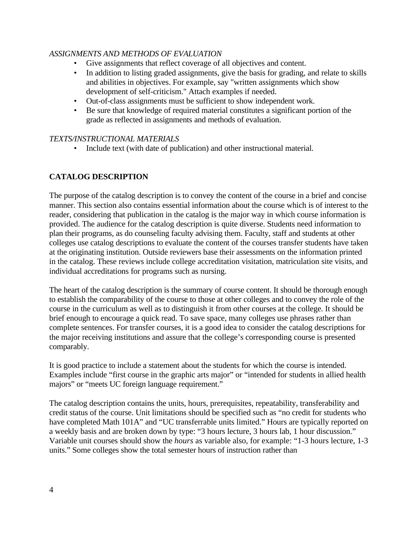#### *ASSIGNMENTS AND METHODS OF EVALUATION*

- Give assignments that reflect coverage of all objectives and content.
- In addition to listing graded assignments, give the basis for grading, and relate to skills and abilities in objectives. For example, say "written assignments which show development of self-criticism." Attach examples if needed.
- Out-of-class assignments must be sufficient to show independent work.
- Be sure that knowledge of required material constitutes a significant portion of the grade as reflected in assignments and methods of evaluation.

#### *TEXTS/INSTRUCTIONAL MATERIALS*

• Include text (with date of publication) and other instructional material.

## **CATALOG DESCRIPTION**

The purpose of the catalog description is to convey the content of the course in a brief and concise manner. This section also contains essential information about the course which is of interest to the reader, considering that publication in the catalog is the major way in which course information is provided. The audience for the catalog description is quite diverse. Students need information to plan their programs, as do counseling faculty advising them. Faculty, staff and students at other colleges use catalog descriptions to evaluate the content of the courses transfer students have taken at the originating institution. Outside reviewers base their assessments on the information printed in the catalog. These reviews include college accreditation visitation, matriculation site visits, and individual accreditations for programs such as nursing.

The heart of the catalog description is the summary of course content. It should be thorough enough to establish the comparability of the course to those at other colleges and to convey the role of the course in the curriculum as well as to distinguish it from other courses at the college. It should be brief enough to encourage a quick read. To save space, many colleges use phrases rather than complete sentences. For transfer courses, it is a good idea to consider the catalog descriptions for the major receiving institutions and assure that the college's corresponding course is presented comparably.

It is good practice to include a statement about the students for which the course is intended. Examples include "first course in the graphic arts major" or "intended for students in allied health majors" or "meets UC foreign language requirement."

The catalog description contains the units, hours, prerequisites, repeatability, transferability and credit status of the course. Unit limitations should be specified such as "no credit for students who have completed Math 101A" and "UC transferrable units limited." Hours are typically reported on a weekly basis and are broken down by type: "3 hours lecture, 3 hours lab, 1 hour discussion." Variable unit courses should show the *hours* as variable also, for example: "1-3 hours lecture, 1-3 units." Some colleges show the total semester hours of instruction rather than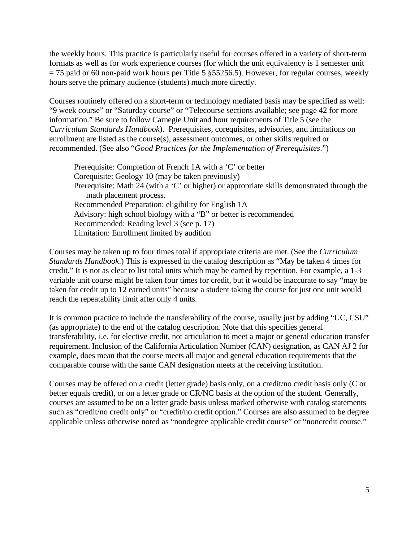the weekly hours. This practice is particularly useful for courses offered in a variety of short-term formats as well as for work experience courses (for which the unit equivalency is 1 semester unit  $= 75$  paid or 60 non-paid work hours per Title 5 §55256.5). However, for regular courses, weekly hours serve the primary audience (students) much more directly.

Courses routinely offered on a short-term or technology mediated basis may be specified as well: "9 week course" or "Saturday course" or "Telecourse sections available; see page 42 for more information." Be sure to follow Carnegie Unit and hour requirements of Title 5 (see the *Curriculum Standards Handbook*). Prerequisites, corequisites, advisories, and limitations on enrollment are listed as the course(s), assessment outcomes, or other skills required or recommended. (See also "*Good Practices for the Implementation of Prerequisites*.")

Prerequisite: Completion of French 1A with a 'C' or better Corequisite: Geology 10 (may be taken previously) Prerequisite: Math 24 (with a 'C' or higher) or appropriate skills demonstrated through the math placement process. Recommended Preparation: eligibility for English 1A Advisory: high school biology with a "B" or better is recommended Recommended: Reading level 3 (see p. 17) Limitation: Enrollment limited by audition

Courses may be taken up to four times total if appropriate criteria are met. (See the *Curriculum Standards Handbook*.) This is expressed in the catalog description as "May be taken 4 times for credit." It is not as clear to list total units which may be earned by repetition. For example, a 1-3 variable unit course might be taken four times for credit, but it would be inaccurate to say "may be taken for credit up to 12 earned units" because a student taking the course for just one unit would reach the repeatability limit after only 4 units.

It is common practice to include the transferability of the course, usually just by adding "UC, CSU" (as appropriate) to the end of the catalog description. Note that this specifies general transferability, i.e. for elective credit, not articulation to meet a major or general education transfer requirement. Inclusion of the California Articulation Number (CAN) designation, as CAN AJ 2 for example, does mean that the course meets all major and general education requirements that the comparable course with the same CAN designation meets at the receiving institution.

Courses may be offered on a credit (letter grade) basis only, on a credit/no credit basis only (C or better equals credit), or on a letter grade or CR/NC basis at the option of the student. Generally, courses are assumed to be on a letter grade basis unless marked otherwise with catalog statements such as "credit/no credit only" or "credit/no credit option." Courses are also assumed to be degree applicable unless otherwise noted as "nondegree applicable credit course" or "noncredit course."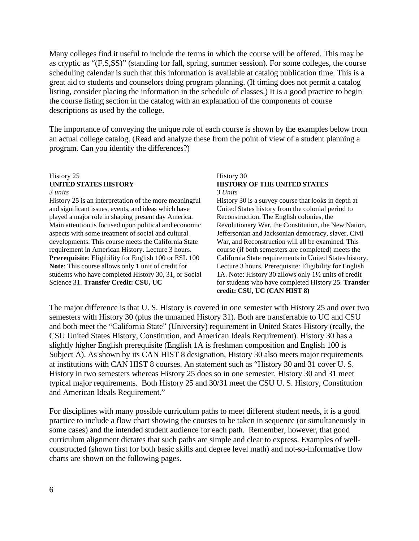Many colleges find it useful to include the terms in which the course will be offered. This may be as cryptic as "(F,S,SS)" (standing for fall, spring, summer session). For some colleges, the course scheduling calendar is such that this information is available at catalog publication time. This is a great aid to students and counselors doing program planning. (If timing does not permit a catalog listing, consider placing the information in the schedule of classes.) It is a good practice to begin the course listing section in the catalog with an explanation of the components of course descriptions as used by the college.

The importance of conveying the unique role of each course is shown by the examples below from an actual college catalog. (Read and analyze these from the point of view of a student planning a program. Can you identify the differences?)

#### History 25 **UNITED STATES HISTORY** *3 units*

History 25 is an interpretation of the more meaningful and significant issues, events, and ideas which have played a major role in shaping present day America. Main attention is focused upon political and economic aspects with some treatment of social and cultural developments. This course meets the California State requirement in American History. Lecture 3 hours. **Prerequisite**: Eligibility for English 100 or ESL 100 **Note**: This course allows only 1 unit of credit for students who have completed History 30, 31, or Social Science 31. **Transfer Credit: CSU, UC**

#### History 30 **HISTORY OF THE UNITED STATES** *3 Units*

History 30 is a survey course that looks in depth at United States history from the colonial period to Reconstruction. The English colonies, the Revolutionary War, the Constitution, the New Nation, Jeffersonian and Jacksonian democracy, slaver, Civil War, and Reconstruction will all be examined. This course (if both semesters are completed) meets the California State requirements in United States history. Lecture 3 hours. Prerequisite: Eligibility for English 1A. Note: History 30 allows only 1½ units of credit for students who have completed History 25. **Transfer credit: CSU, UC (CAN HIST 8)**

The major difference is that U. S. History is covered in one semester with History 25 and over two semesters with History 30 (plus the unnamed History 31). Both are transferrable to UC and CSU and both meet the "California State" (University) requirement in United States History (really, the CSU United States History, Constitution, and American Ideals Requirement). History 30 has a slightly higher English prerequisite (English 1A is freshman composition and English 100 is Subject A). As shown by its CAN HIST 8 designation, History 30 also meets major requirements at institutions with CAN HIST 8 courses. An statement such as "History 30 and 31 cover U. S. History in two semesters whereas History 25 does so in one semester. History 30 and 31 meet typical major requirements. Both History 25 and 30/31 meet the CSU U. S. History, Constitution and American Ideals Requirement."

For disciplines with many possible curriculum paths to meet different student needs, it is a good practice to include a flow chart showing the courses to be taken in sequence (or simultaneously in some cases) and the intended student audience for each path. Remember, however, that good curriculum alignment dictates that such paths are simple and clear to express. Examples of wellconstructed (shown first for both basic skills and degree level math) and not-so-informative flow charts are shown on the following pages.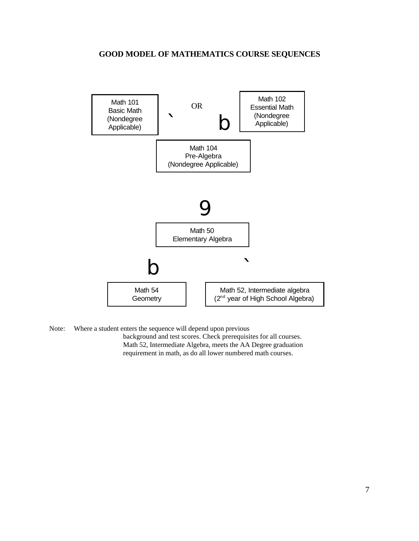#### **GOOD MODEL OF MATHEMATICS COURSE SEQUENCES**



Note: Where a student enters the sequence will depend upon previous background and test scores. Check prerequisites for all courses. Math 52, Intermediate Algebra, meets the AA Degree graduation requirement in math, as do all lower numbered math courses.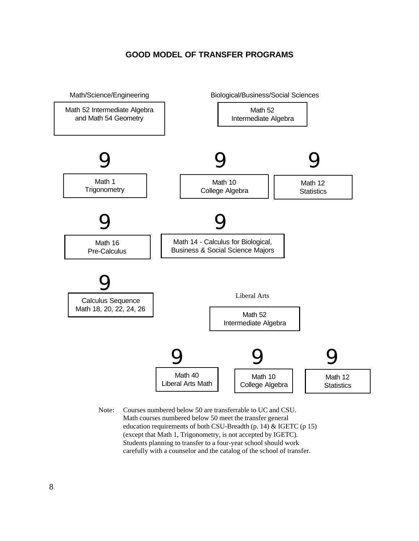#### **GOOD MODEL OF TRANSFER PROGRAMS**



Note: Courses numbered below 50 are transferrable to UC and CSU. Math courses numbered below 50 meet the transfer general education requirements of both CSU-Breadth (p. 14) & IGETC (p 15) (except that Math 1, Trigonometry, is not accepted by IGETC). Students planning to transfer to a four-year school should work carefully with a counselor and the catalog of the school of transfer.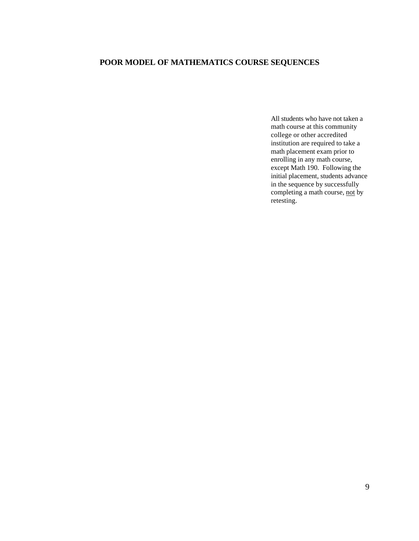## **POOR MODEL OF MATHEMATICS COURSE SEQUENCES**

All students who have not taken a math course at this community college or other accredited institution are required to take a math placement exam prior to enrolling in any math course, except Math 190. Following the initial placement, students advance in the sequence by successfully completing a math course, not by retesting.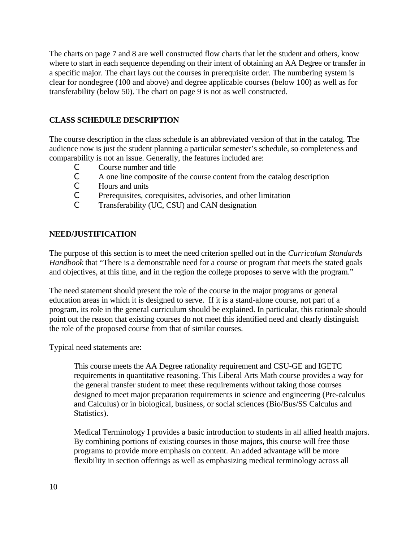The charts on page 7 and 8 are well constructed flow charts that let the student and others, know where to start in each sequence depending on their intent of obtaining an AA Degree or transfer in a specific major. The chart lays out the courses in prerequisite order. The numbering system is clear for nondegree (100 and above) and degree applicable courses (below 100) as well as for transferability (below 50). The chart on page 9 is not as well constructed.

## **CLASS SCHEDULE DESCRIPTION**

The course description in the class schedule is an abbreviated version of that in the catalog. The audience now is just the student planning a particular semester's schedule, so completeness and comparability is not an issue. Generally, the features included are:

- C Course number and title
- $\mathcal{C}$  A one line composite of the course content from the catalog description  $\mathcal{C}$  Hours and units
- Hours and units
- C Prerequisites, corequisites, advisories, and other limitation
- C Transferability (UC, CSU) and CAN designation

#### **NEED/JUSTIFICATION**

The purpose of this section is to meet the need criterion spelled out in the *Curriculum Standards Handbook* that "There is a demonstrable need for a course or program that meets the stated goals and objectives, at this time, and in the region the college proposes to serve with the program."

The need statement should present the role of the course in the major programs or general education areas in which it is designed to serve. If it is a stand-alone course, not part of a program, its role in the general curriculum should be explained. In particular, this rationale should point out the reason that existing courses do not meet this identified need and clearly distinguish the role of the proposed course from that of similar courses.

Typical need statements are:

This course meets the AA Degree rationality requirement and CSU-GE and IGETC requirements in quantitative reasoning. This Liberal Arts Math course provides a way for the general transfer student to meet these requirements without taking those courses designed to meet major preparation requirements in science and engineering (Pre-calculus and Calculus) or in biological, business, or social sciences (Bio/Bus/SS Calculus and Statistics).

Medical Terminology I provides a basic introduction to students in all allied health majors. By combining portions of existing courses in those majors, this course will free those programs to provide more emphasis on content. An added advantage will be more flexibility in section offerings as well as emphasizing medical terminology across all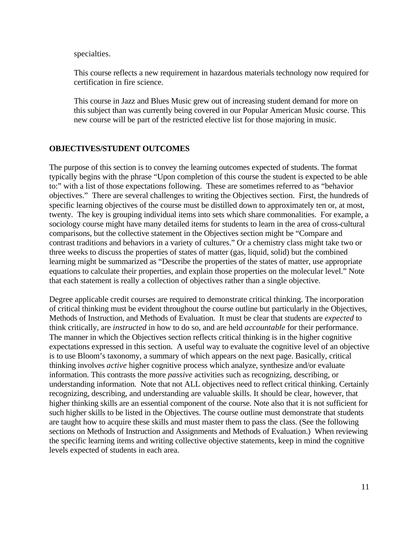specialties.

This course reflects a new requirement in hazardous materials technology now required for certification in fire science.

This course in Jazz and Blues Music grew out of increasing student demand for more on this subject than was currently being covered in our Popular American Music course. This new course will be part of the restricted elective list for those majoring in music.

#### **OBJECTIVES/STUDENT OUTCOMES**

The purpose of this section is to convey the learning outcomes expected of students. The format typically begins with the phrase "Upon completion of this course the student is expected to be able to:" with a list of those expectations following. These are sometimes referred to as "behavior objectives." There are several challenges to writing the Objectives section. First, the hundreds of specific learning objectives of the course must be distilled down to approximately ten or, at most, twenty. The key is grouping individual items into sets which share commonalities. For example, a sociology course might have many detailed items for students to learn in the area of cross-cultural comparisons, but the collective statement in the Objectives section might be "Compare and contrast traditions and behaviors in a variety of cultures." Or a chemistry class might take two or three weeks to discuss the properties of states of matter (gas, liquid, solid) but the combined learning might be summarized as "Describe the properties of the states of matter, use appropriate equations to calculate their properties, and explain those properties on the molecular level." Note that each statement is really a collection of objectives rather than a single objective.

Degree applicable credit courses are required to demonstrate critical thinking. The incorporation of critical thinking must be evident throughout the course outline but particularly in the Objectives, Methods of Instruction, and Methods of Evaluation. It must be clear that students are *expected* to think critically, are *instructed* in how to do so, and are held *accountable* for their performance. The manner in which the Objectives section reflects critical thinking is in the higher cognitive expectations expressed in this section. A useful way to evaluate the cognitive level of an objective is to use Bloom's taxonomy, a summary of which appears on the next page. Basically, critical thinking involves *active* higher cognitive process which analyze, synthesize and/or evaluate information. This contrasts the more *passive* activities such as recognizing, describing, or understanding information. Note that not ALL objectives need to reflect critical thinking. Certainly recognizing, describing, and understanding are valuable skills. It should be clear, however, that higher thinking skills are an essential component of the course. Note also that it is not sufficient for such higher skills to be listed in the Objectives. The course outline must demonstrate that students are taught how to acquire these skills and must master them to pass the class. (See the following sections on Methods of Instruction and Assignments and Methods of Evaluation.) When reviewing the specific learning items and writing collective objective statements, keep in mind the cognitive levels expected of students in each area.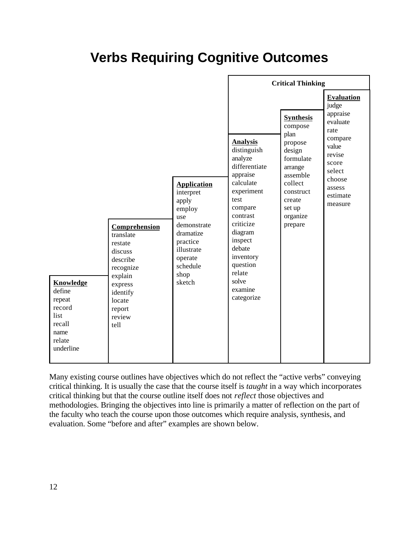## **Verbs Requiring Cognitive Outcomes**

|                                                                                                                                                                                                                                                                                                                                                                                                                  |                                                                                                                                                                                                                                                                                                                                                                                                                       | <b>Critical Thinking</b>                                                                                                                               |  |
|------------------------------------------------------------------------------------------------------------------------------------------------------------------------------------------------------------------------------------------------------------------------------------------------------------------------------------------------------------------------------------------------------------------|-----------------------------------------------------------------------------------------------------------------------------------------------------------------------------------------------------------------------------------------------------------------------------------------------------------------------------------------------------------------------------------------------------------------------|--------------------------------------------------------------------------------------------------------------------------------------------------------|--|
| <b>Application</b><br>interpret<br>apply<br>employ<br>use<br>demonstrate<br>Comprehension<br>dramatize<br>translate<br>practice<br>restate<br>illustrate<br>discuss<br>operate<br>describe<br>schedule<br>recognize<br>shop<br>explain<br>sketch<br><b>Knowledge</b><br>express<br>define<br>identify<br>repeat<br>locate<br>record<br>report<br>list<br>review<br>recall<br>tell<br>name<br>relate<br>underline | <b>Synthesis</b><br>compose<br>plan<br><b>Analysis</b><br>propose<br>distinguish<br>design<br>analyze<br>formulate<br>differentiate<br>arrange<br>appraise<br>assemble<br>calculate<br>collect<br>experiment<br>construct<br>test<br>create<br>compare<br>set up<br>contrast<br>organize<br>criticize<br>prepare<br>diagram<br>inspect<br>debate<br>inventory<br>question<br>relate<br>solve<br>examine<br>categorize | <b>Evaluation</b><br>judge<br>appraise<br>evaluate<br>rate<br>compare<br>value<br>revise<br>score<br>select<br>choose<br>assess<br>estimate<br>measure |  |

Many existing course outlines have objectives which do not reflect the "active verbs" conveying critical thinking. It is usually the case that the course itself is *taught* in a way which incorporates critical thinking but that the course outline itself does not *reflect* those objectives and methodologies. Bringing the objectives into line is primarily a matter of reflection on the part of the faculty who teach the course upon those outcomes which require analysis, synthesis, and evaluation. Some "before and after" examples are shown below.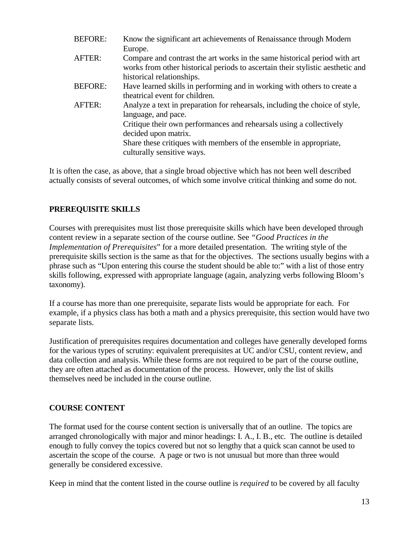| <b>BEFORE:</b> | Know the significant art achievements of Renaissance through Modern                                                                                         |
|----------------|-------------------------------------------------------------------------------------------------------------------------------------------------------------|
|                | Europe.                                                                                                                                                     |
| AFTER:         | Compare and contrast the art works in the same historical period with art<br>works from other historical periods to ascertain their stylistic aesthetic and |
|                | historical relationships.                                                                                                                                   |
| <b>BEFORE:</b> | Have learned skills in performing and in working with others to create a                                                                                    |
|                | theatrical event for children.                                                                                                                              |
| AFTER:         | Analyze a text in preparation for rehearsals, including the choice of style,                                                                                |
|                | language, and pace.                                                                                                                                         |
|                | Critique their own performances and rehearsals using a collectively                                                                                         |
|                | decided upon matrix.                                                                                                                                        |
|                | Share these critiques with members of the ensemble in appropriate,<br>culturally sensitive ways.                                                            |

It is often the case, as above, that a single broad objective which has not been well described actually consists of several outcomes, of which some involve critical thinking and some do not.

## **PREREQUISITE SKILLS**

Courses with prerequisites must list those prerequisite skills which have been developed through content review in a separate section of the course outline. See *"Good Practices in the Implementation of Prerequisites*" for a more detailed presentation. The writing style of the prerequisite skills section is the same as that for the objectives. The sections usually begins with a phrase such as "Upon entering this course the student should be able to:" with a list of those entry skills following, expressed with appropriate language (again, analyzing verbs following Bloom's taxonomy).

If a course has more than one prerequisite, separate lists would be appropriate for each. For example, if a physics class has both a math and a physics prerequisite, this section would have two separate lists.

Justification of prerequisites requires documentation and colleges have generally developed forms for the various types of scrutiny: equivalent prerequisites at UC and/or CSU, content review, and data collection and analysis. While these forms are not required to be part of the course outline, they are often attached as documentation of the process. However, only the list of skills themselves need be included in the course outline.

#### **COURSE CONTENT**

The format used for the course content section is universally that of an outline. The topics are arranged chronologically with major and minor headings: I. A., I. B., etc. The outline is detailed enough to fully convey the topics covered but not so lengthy that a quick scan cannot be used to ascertain the scope of the course. A page or two is not unusual but more than three would generally be considered excessive.

Keep in mind that the content listed in the course outline is *required* to be covered by all faculty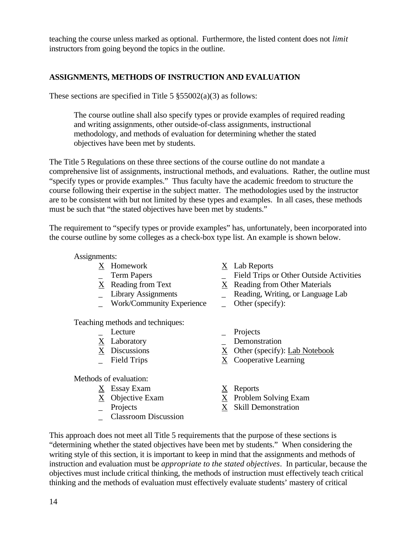teaching the course unless marked as optional. Furthermore, the listed content does not *limit* instructors from going beyond the topics in the outline.

## **ASSIGNMENTS, METHODS OF INSTRUCTION AND EVALUATION**

These sections are specified in Title 5  $\S 55002(a)(3)$  as follows:

The course outline shall also specify types or provide examples of required reading and writing assignments, other outside-of-class assignments, instructional methodology, and methods of evaluation for determining whether the stated objectives have been met by students.

The Title 5 Regulations on these three sections of the course outline do not mandate a comprehensive list of assignments, instructional methods, and evaluations. Rather, the outline must "specify types or provide examples." Thus faculty have the academic freedom to structure the course following their expertise in the subject matter. The methodologies used by the instructor are to be consistent with but not limited by these types and examples. In all cases, these methods must be such that "the stated objectives have been met by students."

The requirement to "specify types or provide examples" has, unfortunately, been incorporated into the course outline by some colleges as a check-box type list. An example is shown below.

#### Assignments:

- 
- 
- 
- 
- \_ Work/Community Experience \_ Other (specify):

Teaching methods and techniques:

- 
- 
- 
- 

Methods of evaluation:

- X Essay Exam X Reports
- 
- 
- \_ Classroom Discussion
- X Homework X Lab Reports
- \_ Term Papers \_ Field Trips or Other Outside Activities
- $\overline{X}$  Reading from Text  $\overline{X}$  Reading from Other Materials<br>
Library Assignments Reading, Writing, or Language
	- \_ Reading, Writing, or Language Lab
	-
- Lecture Projects
- X Laboratory \_ Demonstration
- X Discussions X Other (specify): Lab Notebook
- $\overline{X}$  Field Trips  $\overline{X}$  Cooperative Learning
	-
- $\underline{X}$  Objective Exam  $\underline{X}$  Problem Solving Exam
- $\overline{X}$  Skill Demonstration

This approach does not meet all Title 5 requirements that the purpose of these sections is "determining whether the stated objectives have been met by students." When considering the writing style of this section, it is important to keep in mind that the assignments and methods of instruction and evaluation must be *appropriate to the stated objectives*. In particular, because the objectives must include critical thinking, the methods of instruction must effectively teach critical thinking and the methods of evaluation must effectively evaluate students' mastery of critical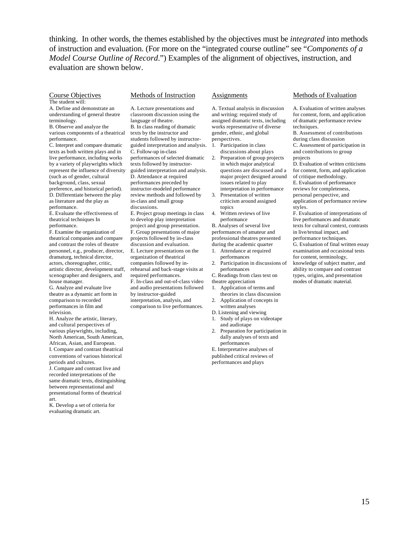thinking. In other words, the themes established by the objectives must be *integrated* into methods of instruction and evaluation. (For more on the "integrated course outline" see "*Components of a Model Course Outline of Record*.") Examples of the alignment of objectives, instruction, and evaluation are shown below.

#### Course Objectives The student will:

A. Define and demonstrate an understanding of general theatre terminology.

B. Observe and analyze the various components of a theatrical performance.

C. Interpret and compare dramatic texts as both written plays and in live performance, including works by a variety of playwrights which represent the influence of diversity (such as of gender, cultural background, class, sexual preference, and historical period). D. Differentiate between the play as literature and the play as performance.

E. Evaluate the effectiveness of theatrical techniques In performance.

F. Examine the organization of theatrical companies and compare and contrast the roles of theatre personnel, e.g., producer, director, dramaturg, technical director, actors, choreographer, critic, artistic director, development staff, scenographer and designers, and house manager.

G. Analyze and evaluate live theatre as a dynamic art form in comparison to recorded performances in film and television.

H. Analyze the artistic, literary, and cultural perspectives of various playwrights, including, North American, South American, African, Asian, and European. I. Compare and contrast theatrical conventions of various historical periods and cultures.

J. Compare and contrast live and recorded interpretations of the same dramatic texts, distinguishing between representational and presentational forms of theatrical art.

K. Develop a set of criteria for evaluating dramatic art.

#### Methods of Instruction

A. Lecture presentations and classroom discussion using the language of theatre.

B. In class reading of dramatic texts by the instructor and students followed by instructorguided interpretation and analysis. C. Follow-up in-class performances of selected dramatic texts followed by instructorguided interpretation and analysis. D. Attendance at required performances preceded by instructor-modeled performance review methods and followed by in-class and small group discussions. E. Project group meetings in class to develop play interpretation project and group presentation. F. Group presentations of major projects followed by in-class

discussion and evaluation. E. Lecture presentations on the organization of theatrical companies followed by inrehearsal and back-stage visits at required performances. F. In-class and out-of-class video and audio presentations followed by instructor-guided interpretation, analysis, and comparison to live performances.

#### **Assignments**

A. Textual analysis in discussion and writing: required study of assigned dramatic texts, including works representative of diverse gender, ethnic, and global perspectives.

1. Participation in class discussions about plays

- 2. Preparation of group projects in which major analytical questions are discussed and a major project designed around issues related to play interpretation in performance
- 3. Presentation of written criticism around assigned topics
- 4. Written reviews of live performance

B. Analyses of several live performances of amateur and professional theatres presented during the academic quarter

- 1. Attendance at required performances
- Participation in discussions of performances
- C. Readings from class text on theatre appreciation
- 1. Application of terms and theories in class discussion
- 2. Application of concepts in written analyses
- D. Listening and viewing
- 1. Study of plays on videotape and audiotape
- 2. Preparation for participation in dally analyses of texts and performances

E. Interpretative analyses of published critical reviews of performances and plays

#### Methods of Evaluation

A. Evaluation of written analyses for content, form, and application of dramatic performance review techniques.

B. Assessment of contributions during class discussion C. Assessment of participation in

and contributions to group projects

D. Evaluation of written criticisms for content, form, and application of critique methodology. E. Evaluation of performance reviews for completeness, personal perspective, and

application of performance review styles. F. Evaluation of interpretations of

live performances and dramatic texts for cultural context, contrasts in live/textual impact, and performance techniques. G. Evaluation of final written essay examination and occasional tests for content, terminology,

knowledge of subject matter, and ability to compare and contrast types, origins, and presentation modes of dramatic material.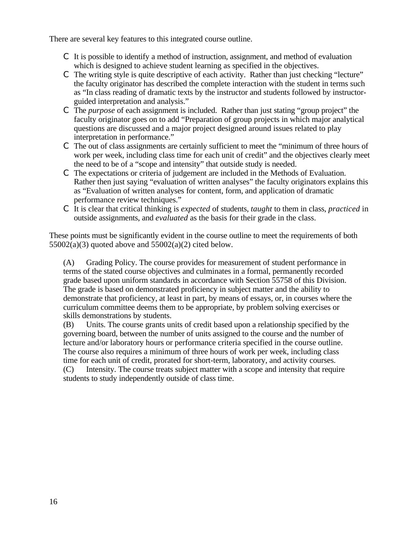There are several key features to this integrated course outline.

- C It is possible to identify a method of instruction, assignment, and method of evaluation which is designed to achieve student learning as specified in the objectives.
- C The writing style is quite descriptive of each activity. Rather than just checking "lecture" the faculty originator has described the complete interaction with the student in terms such as "In class reading of dramatic texts by the instructor and students followed by instructorguided interpretation and analysis."
- C The *purpose* of each assignment is included. Rather than just stating "group project" the faculty originator goes on to add "Preparation of group projects in which major analytical questions are discussed and a major project designed around issues related to play interpretation in performance."
- C The out of class assignments are certainly sufficient to meet the "minimum of three hours of work per week, including class time for each unit of credit" and the objectives clearly meet the need to be of a "scope and intensity" that outside study is needed.
- C The expectations or criteria of judgement are included in the Methods of Evaluation. Rather then just saying "evaluation of written analyses" the faculty originators explains this as "Evaluation of written analyses for content, form, and application of dramatic performance review techniques."
- C It is clear that critical thinking is *expected* of students, *taught* to them in class, *practiced* in outside assignments, and *evaluated* as the basis for their grade in the class.

These points must be significantly evident in the course outline to meet the requirements of both  $55002(a)(3)$  quoted above and  $55002(a)(2)$  cited below.

(A) Grading Policy. The course provides for measurement of student performance in terms of the stated course objectives and culminates in a formal, permanently recorded grade based upon uniform standards in accordance with Section 55758 of this Division. The grade is based on demonstrated proficiency in subject matter and the ability to demonstrate that proficiency, at least in part, by means of essays, or, in courses where the curriculum committee deems them to be appropriate, by problem solving exercises or skills demonstrations by students.

(B) Units. The course grants units of credit based upon a relationship specified by the governing board, between the number of units assigned to the course and the number of lecture and/or laboratory hours or performance criteria specified in the course outline. The course also requires a minimum of three hours of work per week, including class time for each unit of credit, prorated for short-term, laboratory, and activity courses. (C) Intensity. The course treats subject matter with a scope and intensity that require students to study independently outside of class time.